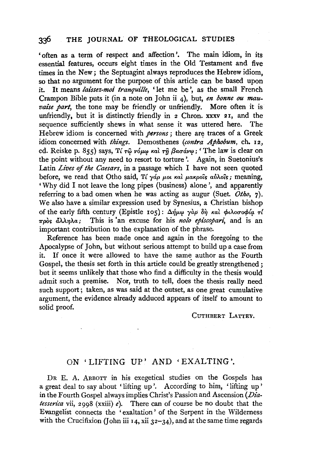## **336 THE** JOURNAL OF THEOLOGICAL STUDIES

'often as a term of respect and affection'. The main idiom, in its essential features, occurs eight times in the Old Testament and five times in the New; the Septuagint always reproduces the Hebrew idiom, so that no argument for the purpose of this article can be based upon it. It means *laissez-moi tranquille,* ' let me be ', as the small French Crampon Bible puts it (in a note on John ii 4), but, *en bonne ou mauvaise part*, the tone may be friendly or unfriendly. More often it is unfriendly, but it is distinctly friendly in 2 Chron. xxxv 21, and the sequence sufficiently shews in what sense it was uttered here. The Hebrew idiom is concerned with *persons*; there are traces of a Greek idiom concerned with *things.* Demosthenes *(contra Apkobum,* eh. 12, ed. Reiske p. 855) says, Tí  $\tau\hat{\omega}$  vóμ $\omega$  και  $\tau\hat{\eta}$  βασάν $\omega$ ; 'The law is clear on the point without any need to resort to torture '. Again, in Suetonius's Latin *Lives* of *the Caesars,* in a passage which I have not seen quoted before, we read that Otho said, Tí *yáp pot kai pakpois avidois*; meaning, 'Why did I not leave the long pipes (business) alone', and apparently referring to a bad omen when he was acting as augur (Suet. *Otho,* 7). We also have a similar expression used by Synesius, a Christian bishop of the early fifth century (Epistle 105): Δήμω γαρ δη και φιλοσοφία τί 1rpo~ *lli'YJA.a;* This is 'an excuse for his *nolo* epi'scopan~ and is an important contribution to the explanation of the phrase.

Reference has been made once and again in the foregoing to the Apocalypse of John, but without serious attempt to build up a case from it. If once it were allowed to have the same author as the Fourth Gospel, the thesis set forth in this article could be greatly strengthened ; but it seems unlikely that those who find a difficulty in the thesis would admit such a premise. Nor, truth to tell, does the thesis really need such support; taken, as was said at the outset, as one great cumulative argument, the evidence already adduced appears of itself to amount to solid proof.

CUTHBERT LATTEY.

## ON ' LIFTING UP' AND 'EXALTING'.

DR E. A. ABBOTT in his exegetical studies on the Gospels has a great deal to say about 'lifting up'. According to him, 'lifting up' in the Fourth Gospel always implies Christ's Passion and Ascension *(Diatesserica* vii, 2998 (xxiii) *e).* There can of course be no doubt that the Evangelist connects the 'exaltation ' of the Serpent in the Wilderness with the Crucifixion (John iii 14, xii  $32-34$ ), and at the same time regards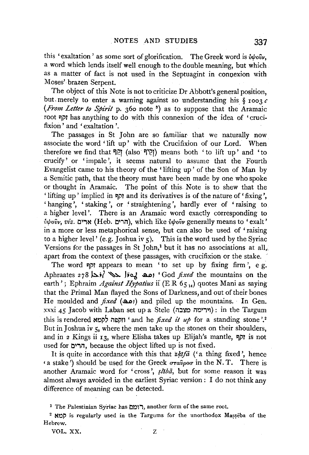this 'exaltation' as some sort of glorification. The Greek word is  $\dot{v}\psi \circ \dot{v}\nu$ , a word which lends itself well enough to the double meaning, but which as a matter of fact is not used in the Septuagint in conuexion with Moses'· brazen Serpent.

The object of this Note is not to criticize Dr Abbott's general position, but merely to enter a warning against so understanding his  $\S$  1003  $c$ *(From Letter to Spirit* p. 360 note 8) as to suppose that the Aramaic root I:Ji'l has anything to do with this connexion of the idea of 'crucifixion' and 'exaltation'.

The passages in St John are so familiar that we naturally now associate the word ' lift up' with the Crucifixion of our Lord. When herefore we find that ?!?! (also ?!?!) means both 'to lift up' and 'to crucify' or 'impale', it seems natural to assume that the Fourth Evangelist came to his theory of the 'lifting up' of the Son of Man by a Semitic path, that the theory must have been made by one who spoke or thought in Aramaic. The point of this. Note is to shew that the 'lifting up' implied in 9PI and its derivatives is of the nature of' fixing', ' hanging', 'staking', or 'straightening', hardly ever of 'raising to a higher level'. There is an Aramaic word exactly corresponding to  $\hat{v}\psi$ והרים. (Heb. הרים), which like  $\hat{v}\psi$ ov generally means to 'exalt' in a more or less metaphorical sense, but can also be used of 'raising to a higher level' (e.g. Joshua iv 5). This is the word used by the Syriac Versions for the passages in St John,<sup>1</sup> but it has no associations at all, apart from the context of these passages, with crucifixion or the stake.

The word יוקף appears to mean ' to set up by fixing firm', e g. Aphraates 278 is / مد / أودا / 4x . Iso. إما i God *fixed* the mountains on the earth'; Ephraim *Against Hypatius* ii (ER 65<sup>14</sup>) quotes Mani as saying that the Primal Man flayed the Sons of Darkness, and out of their bones He moulded and *fixed* ((and ) and piled up the mountains. In Gen.  $xxxi$  45 Jacob with Laban set up a Stele (וירימה מצבה): in the Targum this is rendered **\*Oi''** ind he *fixed it up* for a standing stone '.<sup>2</sup> But in Joshua iv 5, where the men take up the stones on their shoulders, and in 2 Kings ii 13, where Elisha takes up Elijah's mantle, קף is not used for הרים, because the object lifted up is not fixed.

It is quite in accordance with this that *zkifa* ('a thing fixed', hence  $(4 \text{ stable'})$  should be used for the Greek  $\sigma \tau \hat{a} \hat{v}$  a in the N.T. There is another Aramaic word for 'cross',  $s\bar{l}t\bar{b}\bar{a}$ , but for some reason it was almost always avoided in the earliest Syriac version : I do not think any difference of meaning can be detected.

VOL. XX. z

<sup>&</sup>lt;sup>1</sup> The Palestinian Syriac has הומם, another form of the same root.

<sup>&</sup>lt;sup>2</sup> app is regularly used in the Targums for the unorthodox Masseba of the Hebrew.